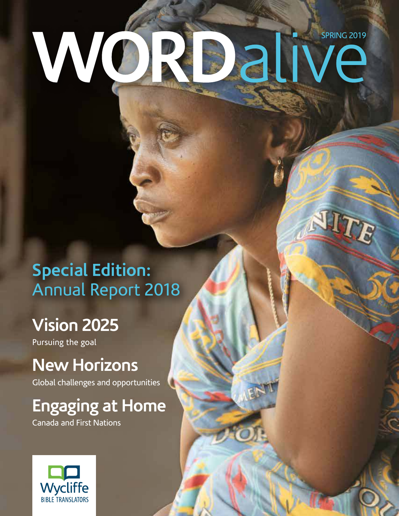# W SPRING 2019

### **Special Edition:** Annual Report 2018

### **Vision 2025**

Pursuing the goal

### **New Horizons**

Global challenges and opportunities

## **Engaging at Home**

Canada and First Nations

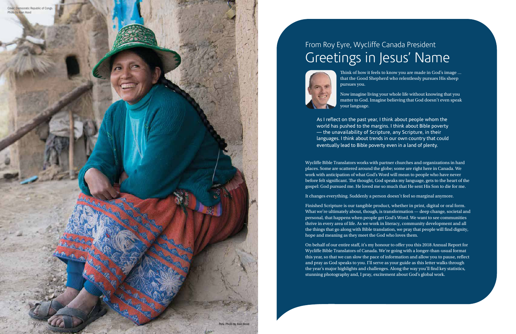### From Roy Eyre, Wycliffe Canada President Greetings in Jesus' Name



Think of how it feels to know you are made in God's image … that the Good Shepherd who relentlessly pursues His sheep pursues you.

Now imagine living your whole life without knowing that you matter to God. Imagine believing that God doesn't even speak

your language.

As I reflect on the past year, I think about people whom the world has pushed to the margins. I think about Bible poverty — the unavailability of Scripture, any Scripture, in their languages. I think about trends in our own country that could eventually lead to Bible poverty even in a land of plenty.

Wycliffe Bible Translators works with partner churches and organizations in hard places. Some are scattered around the globe; some are right here in Canada. We work with anticipation of what God's Word will mean to people who have never before felt significant. The thought, God speaks my language, gets to the heart of the gospel: God pursued me. He loved me so much that He sent His Son to die for me.

2 Word Alive Spring 2019

It changes everything. Suddenly a person doesn't feel so marginal anymore.

Finished Scripture is our tangible product, whether in print, digital or oral form. What we're ultimately about, though, is transformation — deep change, societal and personal, that happens when people get God's Word. We want to see communities thrive in every area of life. As we work in literacy, community development and all the things that go along with Bible translation, we pray that people will find dignity, hope and meaning as they meet the God who loves them.

On behalf of our entire staff, it's my honour to offer you this 2018 Annual Report for Wycliffe Bible Translators of Canada. We're going with a longer-than-usual format this year, so that we can slow the pace of information and allow you to pause, reflect and pray as God speaks to you. I'll serve as your guide as this letter walks through the year's major highlights and challenges. Along the way you'll find key statistics, stunning photography and, I pray, excitement about God's global work.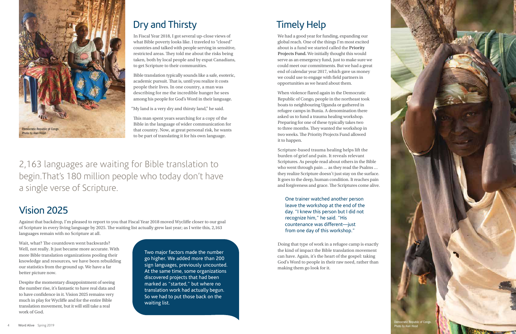### Vision 2025

Against that backdrop, I'm pleased to report to you that Fiscal Year 2018 moved Wycliffe closer to our goal of Scripture in every living language by 2025. The waiting list actually grew last year; as I write this, 2,163 languages remain with no Scripture at all.

Wait, what? The countdown went backwards? Well, not really. It just became more accurate. With more Bible translation organizations pooling their knowledge and resources, we have been rebuilding our statistics from the ground up. We have a far better picture now.

Despite the momentary disappointment of seeing the number rise, it's fantastic to have real data and to have confidence in it. Vision 2025 remains very much in play for Wycliffe and for the entire Bible translation movement, but it will still take a real work of God.

### Dry and Thirsty

In Fiscal Year 2018, I got several up-close views of what Bible poverty looks like. I traveled to "closed" countries and talked with people serving in sensitive, restricted areas. They told me about the risks being taken, both by local people and by expat Canadians, to get Scripture to their communities.

Bible translation typically sounds like a safe, esoteric, academic pursuit. That is, until you realize it costs people their lives. In one country, a man was describing for me the incredible hunger he sees among his people for God's Word in their language.

"My land is a very dry and thirsty land," he said.

This man spent years searching for a copy of the Bible in the language of wider communication for that country. Now, at great personal risk, he wants to be part of translating it for his own language.

> Two major factors made the number go higher. We added more than 200 sign languages, previously uncounted. At the same time, some organizations discovered projects that had been marked as "started," but where no translation work had actually begun. So we had to put those back on the waiting list.

2,163 languages are waiting for Bible translation to begin.That's 180 million people who today don't have a single verse of Scripture.

### Timely Help

We had a good year for funding, expanding our global reach. One of the things I'm most excited about is a fund we started called the **Priority Projects Fund.** We initially thought this would serve as an emergency fund, just to make sure we could meet our commitments. But we had a great end of calendar year 2017, which gave us money we could use to engage with field partners in opportunities as we heard about them.

When violence flared again in the Democratic Republic of Congo, people in the northeast took boats to neighbouring Uganda or gathered in refugee camps in Bunia. A denomination there asked us to fund a trauma healing workshop. Preparing for one of these typically takes two to three months. They wanted the workshop in two weeks. The Priority Projects Fund allowed it to happen.

Scripture-based trauma healing helps lift the burden of grief and pain. It reveals relevant Scriptures. As people read about others in the Bible who went through pain … as they read the Psalms … they realize Scripture doesn't just stay on the surface. It goes to the deep, human condition. It reaches pain and forgiveness and grace. The Scriptures come alive.

One trainer watched another person leave the workshop at the end of the day. "I knew this person but I did not recognize him," he said. "His countenance was different—just from one day of this workshop."

Doing that type of work in a refugee camp is exactly the kind of impact the Bible translation movement can have. Again, it's the heart of the gospel: taking God's Word to people in their raw need, rather than making them go look for it.

Democratic Republic of Congo. Photo by Alan Hood

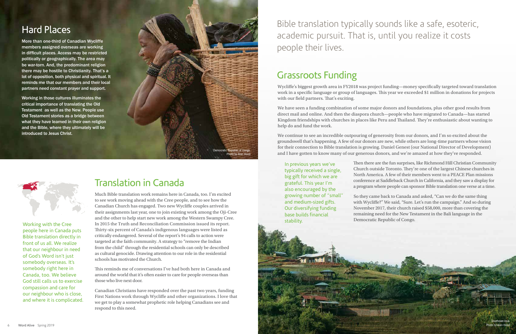### Translation in Canada

Much Bible translation work remains here in Canada, too. I'm excited to see work moving ahead with the Cree people, and to see how the Canadian Church has engaged. Two new Wycliffe couples arrived in their assignments last year, one to join existing work among the Oji-Cree and the other to help start new work among the Western Swampy Cree. In 2015 the Truth and Reconciliation Commission issued its report. Thirty-six percent of Canada's indigenous languages were listed as critically endangered. Several of the report's 94 calls to action were targeted at the faith community. A strategy to "remove the Indian from the child" through the residential schools can only be described as cultural genocide. Drawing attention to our role in the residential schools has motivated the Church.

This reminds me of conversations I've had both here in Canada and around the world that it's often easier to care for people overseas than those who live next door.

Canadian Christians have responded over the past two years, funding First Nations work through Wycliffe and other organizations. I love that we get to play a somewhat prophetic role helping Canadians see and respond to this need.

Working with the Cree people here in Canada puts Bible translation directly in front of us all. We realize that our neighbour in need of God's Word isn't just somebody overseas. It's somebody right here in Canada, too. We believe God still calls us to exercise compassion and care for our neighbour who is close, and where it is complicated.

### Grassroots Funding

Wycliffe's biggest growth area in FY2018 was project funding—money specifically targeted toward translation work in a specific language or group of languages. This year we exceeded \$1 million in donations for projects with our field partners. That's exciting.

We have seen a funding combination of some major donors and foundations, plus other good results from direct mail and online. And then the diaspora church—people who have migrated to Canada—has started Kingdom friendships with churches in places like Peru and Thailand. They're enthusiastic about wanting to help do and fund the work.

We continue to see an incredible outpouring of generosity from our donors, and I'm so excited about the groundswell that's happening. A few of our donors are new, while others are long-time partners whose vision for their connection to Bible translation is growing. Daniel Genest (our National Director of Development) and I have gotten to know many of our generous donors, and we're amazed at how they've responded.

> Then there are the fun surprises, like Richmond Hill Christian Community Church outside Toronto. They're one of the largest Chinese churches in North America. A few of their members went to a PEACE Plan missions conference at Saddleback Church in California, and they saw a display for a program where people can sponsor Bible translation one verse at a time.

So they came back to Canada and asked, "Can we do the same thing with Wycliffe?" We said, "Sure. Let's run the campaign." And so during November 2017, their church raised \$58,000, more than covering the remaining need for the New Testament in the Bali language in the Democratic Republic of Congo.

In previous years we've typically received a single, big gift for which we are grateful. This year I'm also encouraged by the growing number of "small" and medium-sized gifts. Our diversifying funding base builds financial stability.

Bible translation typically sounds like a safe, esoteric, academic pursuit. That is, until you realize it costs people their lives.

### Hard Places

More than one-third of Canadian Wycliffe members assigned overseas are working in difficult places. Access may be restricted politically or geographically. The area may be war-torn. And, the predominant religion there may be hostile to Christianity. That's a lot of opposition, both physical and spiritual. It reminds me that our members and their local partners need constant prayer and support.

Working in those cultures illuminates the critical importance of translating the Old Testament as well as the New. People use Old Testament stories as a bridge between what they have learned in their own religion and the Bible, where they ultimately will be introduced to Jesus Christ.

![](_page_3_Picture_3.jpeg)

![](_page_3_Picture_4.jpeg)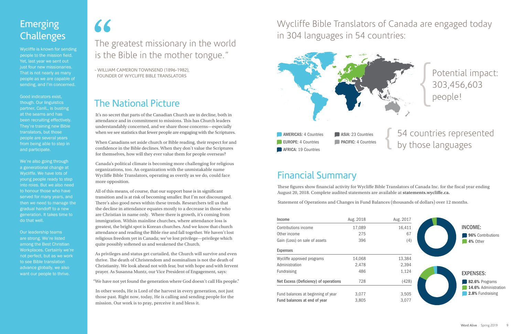### **Emerging** Challenges

Wycliffe is known for sending people to the mission field. Yet, last year we sent out just four new missionaries. That is not nearly as many people as we are capable of sending, and I'm concerned.

Good indicators exist, though. Our linguistics partner, CanIL, is busting at the seams and has been recruiting effectively. They're training new Bible translators, but those people are several years from being able to step in and participate.

We're also going through a generational change at Wycliffe. We have lots of young people ready to step into roles. But we also need to honour those who have served for many years, and then we need to manage the gradual handoff to a new generation. It takes time to do that well.

Our leadership teams are strong. We're listed among the Best Christian Workplaces. Certainly we're not perfect, but as we work to see Bible translation advance globally, we also want our people to thrive.

### The National Picture

It's no secret that parts of the Canadian Church are in decline, both in attendance and in commitment to missions. This has Church leaders understandably concerned, and we share those concerns—especially when we see statistics that fewer people are engaging with the Scriptures.

When Canadians set aside church or Bible reading, their respect for and confidence in the Bible declines. When they don't value the Scriptures for themselves, how will they ever value them for people overseas?

Canada's political climate is becoming more challenging for religious organizations, too. An organization with the unmistakable name Wycliffe Bible Translators, operating as overtly as we do, could face more opposition.

## 66<br>The 8 The greatest missionary in the world is the Bible in the mother tongue."

All of this means, of course, that our support base is in significant transition and is at risk of becoming smaller. But I'm not discouraged. There's also good news within these trends. Researchers tell us that the decline in attendance equates mostly to a decrease in those who are Christian in name only. Where there is growth, it's coming from immigration. Within mainline churches, where attendance loss is greatest, the bright spot is Korean churches. And we know that church attendance and reading the Bible rise and fall together. We haven't lost religious freedom yet in Canada; we've lost privilege—privilege which quite possibly softened us and weakened the Church.

As privileges and status get curtailed, the Church will survive and even thrive. The death of Christendom and nominalism is not the death of Christianity. We look ahead not with fear, but with hope and with fervent prayer. As Susanna Muntz, our Vice President of Engagement, says:

"We have not yet found the generation where God doesn't call His people."

In other words, He is Lord of the harvest in every generation, not just those past. Right now, today, He is calling and sending people for the mission. Our work is to pray, perceive it and bless it.

### Financial Summary

These figures show financial activity for Wycliffe Bible Translators of Canada Inc. for the fiscal year ending August 20, 2018. Complete audited statements are available at **statements.wycliffe.ca.**

Statement of Operations and Changes in Fund Balances (thousands of dollars) over 12 months.

### Wycliffe Bible Translators of Canada are engaged today in 304 languages in 54 countries:

**AMERICAS: 4 Countries** EUROPE: 4 Countries **AFRICA: 19 Countries** ASIA: 23 Countries **PACIFIC: 4 Countries** 

Potential impact: 303,456,603 people!

- WILLIAM CAMERON TOWNSEND (1896-1982), FOUNDER OF WYCLIFFE BIBLE TRANSLATORS

### 54 countries represented by those languages {

| Income                                | Aug. 2018 | Aug. 2017 |
|---------------------------------------|-----------|-----------|
| Contributions income                  | 17,089    | 16,411    |
| Other income                          | 275       | 67        |
| Gain (Loss) on sale of assets         | 396       | (4)       |
| <b>Expenses</b>                       |           |           |
| Wycliffe approved programs            | 14,068    | 13,384    |
| Administration                        | 2,478     | 2,394     |
| <b>Fundraising</b>                    | 486       | 1,124     |
| Net Excess (Deficiency) of operations | 728       | (428)     |
| Fund balances at beginning of year    | 3,077     | 3,505     |
| Fund balances at end of year          | 3,805     | 3,077     |

![](_page_4_Figure_25.jpeg)

![](_page_4_Picture_22.jpeg)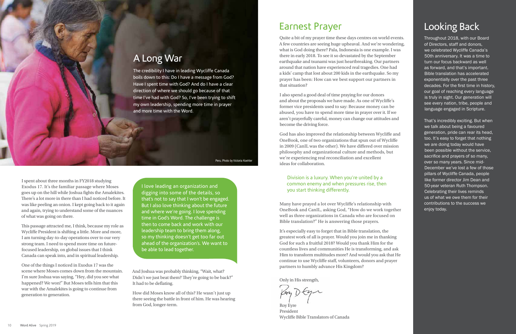I spent about three months in FY2018 studying Exodus 17. It's the familiar passage where Moses goes up on the hill while Joshua fights the Amalekites. There's a lot more in there than I had noticed before. It was like peeling an onion. I kept going back to it again and again, trying to understand some of the nuances of what was going on there.

This passage attracted me, I think, because my role as Wycliffe President is shifting a little. More and more, I am turning day-to-day operations over to our very strong team. I need to spend more time on futurefocused leadership, on global issues that I think Canada can speak into, and in spiritual leadership.

One of the things I noticed in Exodus 17 was the scene where Moses comes down from the mountain. I'm sure Joshua was saying, "Hey, did you see what happened? We won!" But Moses tells him that this war with the Amalekites is going to continue from generation to generation.

And Joshua was probably thinking, "Wait, what? Didn't we just beat them? They're going to be back?" It had to be deflating.

How did Moses know all of this? He wasn't just up there seeing the battle in front of him. He was hearing from God, longer-term.

### Earnest Prayer

Quite a bit of my prayer time these days centres on world events. A few countries are seeing huge upheaval. And we're wondering, what is God doing there? Pala, Indonesia is one example. I was there in early 2018. To see it so devastated by the September earthquake and tsunami was just heartbreaking. Our partners around that nation have experienced real tragedies. One had a kids' camp that lost about 200 kids in the earthquake. So my prayer has been: How can we best support our partners in that situation?

I also spend a good deal of time praying for our donors and about the proposals we have made. As one of Wycliffe's former vice presidents used to say: Because money can be abused, you have to spend more time in prayer over it. If we aren't prayerfully careful, money can change our attitudes and become the driving force.

God has also improved the relationship between Wycliffe and OneBook, one of two organizations that spun out of Wycliffe in 2009 (CanIL was the other). We have differed over mission philosophy and organizational culture and methods, but we're experiencing real reconciliation and excellent ideas for collaboration.

### Division is a luxury. When you're united by a common enemy and when pressures rise, then you start thinking differently.

Many have prayed a lot over Wycliffe's relationship with OneBook and CanIL, asking God, "How do we work together well as three organizations in Canada who are focused on Bible translation?" He is answering those prayers.

It's especially easy to forget that in Bible translation, the greatest work of all is prayer. Would you join me in thanking God for such a fruitful 2018? Would you thank Him for the countless lives and communities He is transforming, and ask Him to transform multitudes more? And would you ask that He continue to use Wycliffe staff, volunteers, donors and prayer partners to humbly advance His Kingdom?

Only in His strength,

Roy Eyre President Wycliffe Bible Translators of Canada

### A Long War

The credibility I have in leading Wycliffe Canada boils down to this: Do I have a message from God? Have I spent time with God? And do I have a clear direction of where we should go because of that time I've had with God? So, I've been trying to shift my own leadership, spending more time in prayer and more time with the Word.

### Looking Back

Throughout 2018, with our Board of Directors, staff and donors, we celebrated Wycliffe Canada's 50th anniversary. It was a time to turn our focus backward as well as forward, and that's important. Bible translation has accelerated exponentially over the past three decades. For the first time in history, our goal of reaching every language is truly in sight. Our generation will see every nation, tribe, people and language engaged in Scripture.

That's incredibly exciting. But when we talk about being a favoured generation, pride can rear its head, too. It's easy to forget that nothing we are doing today would have been possible without the service, sacrifice and prayers of so many, over so many years. Since mid-December we've lost a few of those pillars of Wycliffe Canada, people like former director Jim Dean and 50-year veteran Ruth Thompson. Celebrating their lives reminds us of what we owe them for their contributions to the success we enjoy today.

I love leading an organization and digging into some of the details, so that's not to say that I won't be engaged. But I also love thinking about the future and where we're going. I love spending time in God's Word. The challenge is then to come back and work with our leadership team to bring them along, so my thinking doesn't get too far out ahead of the organization's. We want to be able to lead together.

Peru. Photo by Victoria Koehler